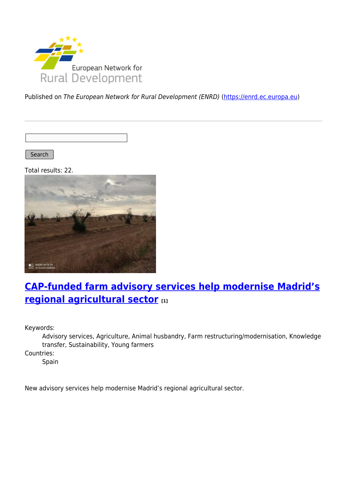

Published on The European Network for Rural Development (ENRD) [\(https://enrd.ec.europa.eu](https://enrd.ec.europa.eu))

Search

Total results: 22.



# **[CAP-funded farm advisory services help modernise Madrid's](https://enrd.ec.europa.eu/projects-practice/cap-funded-farm-advisory-services-help-modernise-madrids-regional-agricultural_en) [regional agricultural sector](https://enrd.ec.europa.eu/projects-practice/cap-funded-farm-advisory-services-help-modernise-madrids-regional-agricultural_en) [1]**

Keywords:

Advisory services, Agriculture, Animal husbandry, Farm restructuring/modernisation, Knowledge transfer, Sustainability, Young farmers

Countries:

Spain

New advisory services help modernise Madrid's regional agricultural sector.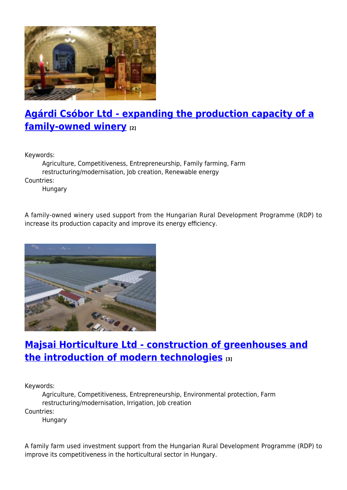

# **[Agárdi Csóbor Ltd - expanding the production capacity of a](https://enrd.ec.europa.eu/projects-practice/agardi-csobor-ltd-expanding-production-capacity-family-owned-winery_en) [family-owned winery](https://enrd.ec.europa.eu/projects-practice/agardi-csobor-ltd-expanding-production-capacity-family-owned-winery_en) [2]**

Keywords:

Agriculture, Competitiveness, Entrepreneurship, Family farming, Farm restructuring/modernisation, Job creation, Renewable energy Countries: Hungary

A family-owned winery used support from the Hungarian Rural Development Programme (RDP) to increase its production capacity and improve its energy efficiency.



### **[Majsai Horticulture Ltd - construction of greenhouses and](https://enrd.ec.europa.eu/projects-practice/majsai-horticulture-ltd-construction-greenhouses-and-introduction-modern_en) [the introduction of modern technologies](https://enrd.ec.europa.eu/projects-practice/majsai-horticulture-ltd-construction-greenhouses-and-introduction-modern_en) [3]**

Keywords:

Agriculture, Competitiveness, Entrepreneurship, Environmental protection, Farm restructuring/modernisation, Irrigation, Job creation Countries:

Hungary

A family farm used investment support from the Hungarian Rural Development Programme (RDP) to improve its competitiveness in the horticultural sector in Hungary.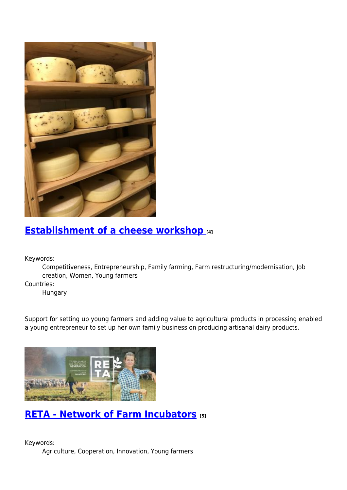

#### **[Establishment of a cheese workshop](https://enrd.ec.europa.eu/projects-practice/establishment-cheese-workshop_en) [4]**

Keywords:

Competitiveness, Entrepreneurship, Family farming, Farm restructuring/modernisation, Job creation, Women, Young farmers

Countries:

Hungary

Support for setting up young farmers and adding value to agricultural products in processing enabled a young entrepreneur to set up her own family business on producing artisanal dairy products.



#### **[RETA - Network of Farm Incubators](https://enrd.ec.europa.eu/projects-practice/reta-network-farm-incubators_en) [5]**

Keywords: Agriculture, Cooperation, Innovation, Young farmers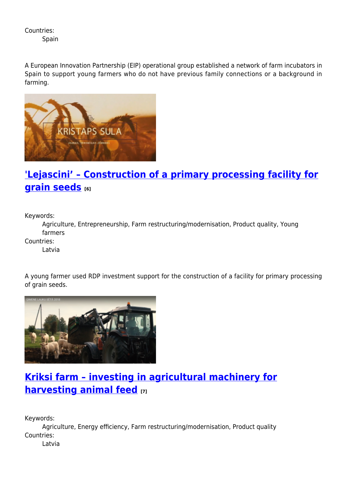Countries:

Spain

A European Innovation Partnership (EIP) operational group established a network of farm incubators in Spain to support young farmers who do not have previous family connections or a background in farming.



# **['Lejascini' – Construction of a primary processing facility for](https://enrd.ec.europa.eu/projects-practice/lejascini-construction-primary-processing-facility-grain-seeds_en) [grain seeds](https://enrd.ec.europa.eu/projects-practice/lejascini-construction-primary-processing-facility-grain-seeds_en)** [6]

Keywords:

Agriculture, Entrepreneurship, Farm restructuring/modernisation, Product quality, Young farmers

Countries:

Latvia

A young farmer used RDP investment support for the construction of a facility for primary processing of grain seeds.



# **[Kriksi farm – investing in agricultural machinery for](https://enrd.ec.europa.eu/projects-practice/kriksi-farm-investing-agricultural-machinery-harvesting-animal-feed_en) [harvesting animal feed](https://enrd.ec.europa.eu/projects-practice/kriksi-farm-investing-agricultural-machinery-harvesting-animal-feed_en) [7]**

Keywords:

Agriculture, Energy efficiency, Farm restructuring/modernisation, Product quality Countries:

Latvia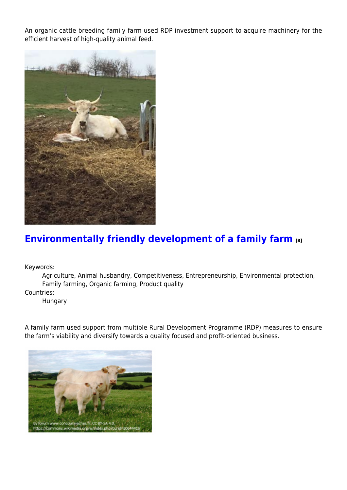An organic cattle breeding family farm used RDP investment support to acquire machinery for the efficient harvest of high-quality animal feed.



### **[Environmentally friendly development of a family farm](https://enrd.ec.europa.eu/projects-practice/environmentally-friendly-development-family-farm_en) [8]**

Keywords:

Agriculture, Animal husbandry, Competitiveness, Entrepreneurship, Environmental protection, Family farming, Organic farming, Product quality

Countries:

Hungary

A family farm used support from multiple Rural Development Programme (RDP) measures to ensure the farm's viability and diversify towards a quality focused and profit-oriented business.

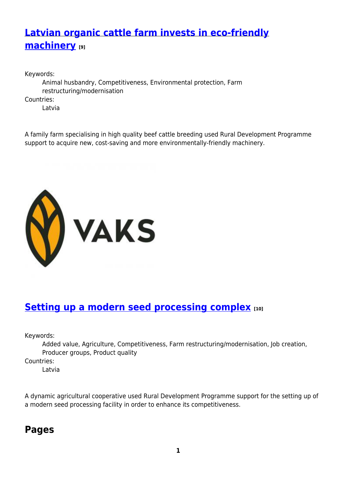# **[Latvian organic cattle farm invests in eco-friendly](https://enrd.ec.europa.eu/projects-practice/latvian-organic-cattle-farm-invests-eco-friendly-machinery_en) [machinery](https://enrd.ec.europa.eu/projects-practice/latvian-organic-cattle-farm-invests-eco-friendly-machinery_en) [9]**

Keywords: Animal husbandry, Competitiveness, Environmental protection, Farm restructuring/modernisation Countries: Latvia

A family farm specialising in high quality beef cattle breeding used Rural Development Programme support to acquire new, cost-saving and more environmentally-friendly machinery.



### **[Setting up a modern seed processing complex](https://enrd.ec.europa.eu/projects-practice/setting-modern-seed-processing-complex_en) [10]**

Keywords:

Added value, Agriculture, Competitiveness, Farm restructuring/modernisation, Job creation, Producer groups, Product quality

Countries:

Latvia

A dynamic agricultural cooperative used Rural Development Programme support for the setting up of a modern seed processing facility in order to enhance its competitiveness.

#### **Pages**